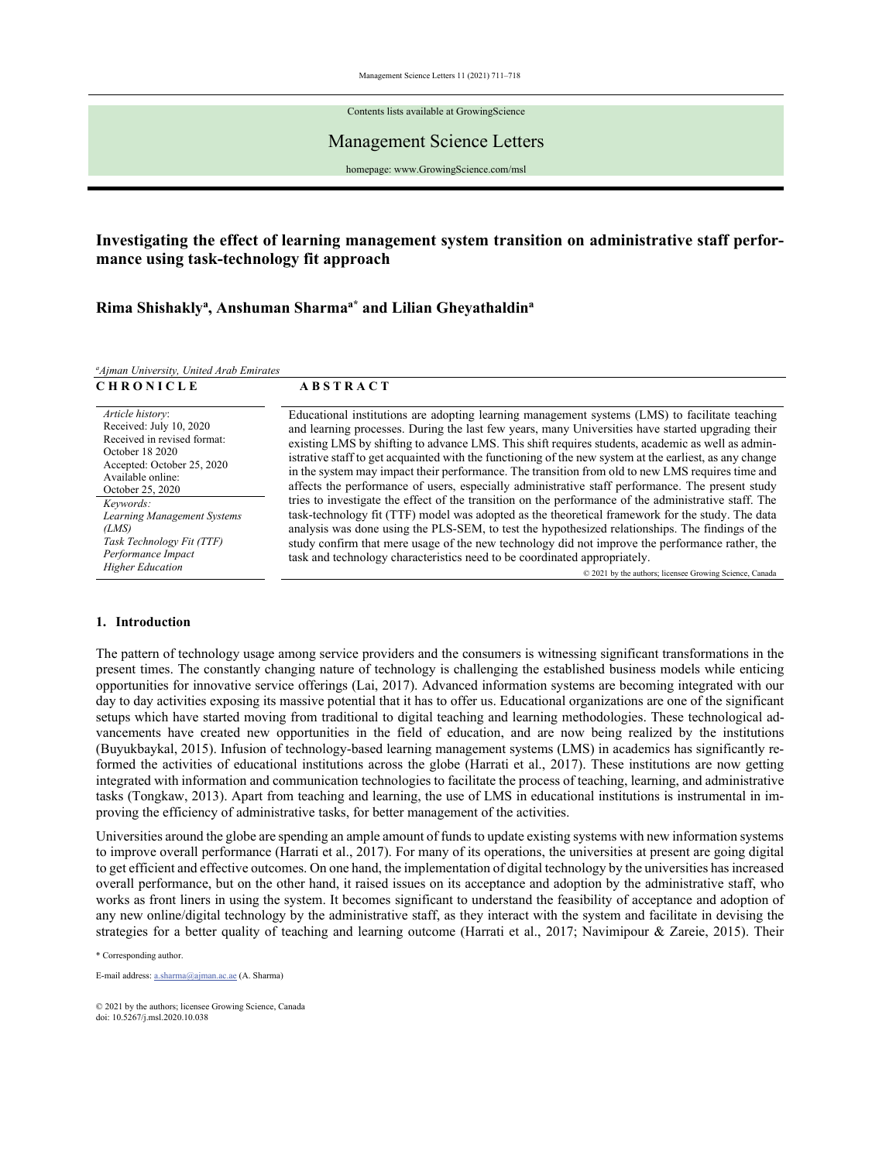Management Science Letters 11 (2021) 711–718

Contents lists available at GrowingScience

### Management Science Letters

homepage: www.GrowingScience.com/msl

# **Investigating the effect of learning management system transition on administrative staff performance using task-technology fit approach**

## **Rima Shishakly<sup>a</sup> , Anshuman Sharmaa\* and Lilian Gheyathaldin<sup>a</sup>**

*<sup>a</sup>Ajman University, United Arab Emirates* 

| <b>CHRONICLE</b>                                                                                                                                                                                                                                              | <b>ABSTRACT</b>                                                                                                                                                                                                                                                                                                                                                                                                                                                                                                                                                                                                                                                                                                                                                                                                                                                                                                                                                                                                                                 |
|---------------------------------------------------------------------------------------------------------------------------------------------------------------------------------------------------------------------------------------------------------------|-------------------------------------------------------------------------------------------------------------------------------------------------------------------------------------------------------------------------------------------------------------------------------------------------------------------------------------------------------------------------------------------------------------------------------------------------------------------------------------------------------------------------------------------------------------------------------------------------------------------------------------------------------------------------------------------------------------------------------------------------------------------------------------------------------------------------------------------------------------------------------------------------------------------------------------------------------------------------------------------------------------------------------------------------|
| Article history:<br>Received: July 10, 2020<br>Received in revised format:<br>October 18 2020<br>Accepted: October 25, 2020<br>Available online:<br>October 25, 2020<br>Keywords:<br><b>Learning Management Systems</b><br>(LMS)<br>Task Technology Fit (TTF) | Educational institutions are adopting learning management systems (LMS) to facilitate teaching<br>and learning processes. During the last few years, many Universities have started upgrading their<br>existing LMS by shifting to advance LMS. This shift requires students, academic as well as admin-<br>istrative staff to get acquainted with the functioning of the new system at the earliest, as any change<br>in the system may impact their performance. The transition from old to new LMS requires time and<br>affects the performance of users, especially administrative staff performance. The present study<br>tries to investigate the effect of the transition on the performance of the administrative staff. The<br>task-technology fit (TTF) model was adopted as the theoretical framework for the study. The data<br>analysis was done using the PLS-SEM, to test the hypothesized relationships. The findings of the<br>study confirm that mere usage of the new technology did not improve the performance rather, the |
| Performance Impact<br><b>Higher Education</b>                                                                                                                                                                                                                 | task and technology characteristics need to be coordinated appropriately.                                                                                                                                                                                                                                                                                                                                                                                                                                                                                                                                                                                                                                                                                                                                                                                                                                                                                                                                                                       |
|                                                                                                                                                                                                                                                               | © 2021 by the authors; licensee Growing Science, Canada                                                                                                                                                                                                                                                                                                                                                                                                                                                                                                                                                                                                                                                                                                                                                                                                                                                                                                                                                                                         |

### **1. Introduction**

The pattern of technology usage among service providers and the consumers is witnessing significant transformations in the present times. The constantly changing nature of technology is challenging the established business models while enticing opportunities for innovative service offerings (Lai, 2017). Advanced information systems are becoming integrated with our day to day activities exposing its massive potential that it has to offer us. Educational organizations are one of the significant setups which have started moving from traditional to digital teaching and learning methodologies. These technological advancements have created new opportunities in the field of education, and are now being realized by the institutions (Buyukbaykal, 2015). Infusion of technology-based learning management systems (LMS) in academics has significantly reformed the activities of educational institutions across the globe (Harrati et al., 2017). These institutions are now getting integrated with information and communication technologies to facilitate the process of teaching, learning, and administrative tasks (Tongkaw, 2013). Apart from teaching and learning, the use of LMS in educational institutions is instrumental in improving the efficiency of administrative tasks, for better management of the activities.

Universities around the globe are spending an ample amount of funds to update existing systems with new information systems to improve overall performance (Harrati et al., 2017). For many of its operations, the universities at present are going digital to get efficient and effective outcomes. On one hand, the implementation of digital technology by the universities has increased overall performance, but on the other hand, it raised issues on its acceptance and adoption by the administrative staff, who works as front liners in using the system. It becomes significant to understand the feasibility of acceptance and adoption of any new online/digital technology by the administrative staff, as they interact with the system and facilitate in devising the strategies for a better quality of teaching and learning outcome (Harrati et al., 2017; Navimipour & Zareie, 2015). Their

\* Corresponding author.

© 2021 by the authors; licensee Growing Science, Canada doi: 10.5267/j.msl.2020.10.038

E-mail address: a.sharma@ajman.ac.ae (A. Sharma)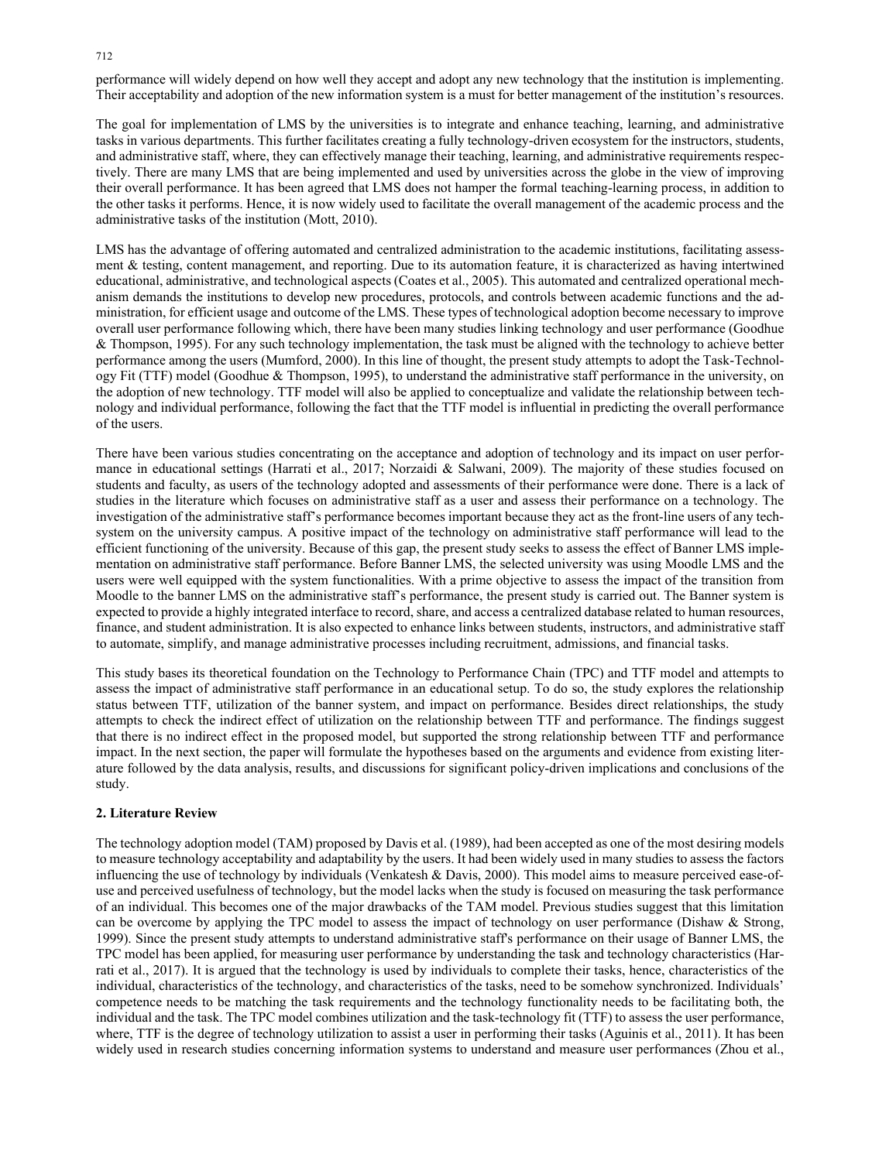performance will widely depend on how well they accept and adopt any new technology that the institution is implementing. Their acceptability and adoption of the new information system is a must for better management of the institution's resources.

The goal for implementation of LMS by the universities is to integrate and enhance teaching, learning, and administrative tasks in various departments. This further facilitates creating a fully technology-driven ecosystem for the instructors, students, and administrative staff, where, they can effectively manage their teaching, learning, and administrative requirements respectively. There are many LMS that are being implemented and used by universities across the globe in the view of improving their overall performance. It has been agreed that LMS does not hamper the formal teaching-learning process, in addition to the other tasks it performs. Hence, it is now widely used to facilitate the overall management of the academic process and the administrative tasks of the institution (Mott, 2010).

LMS has the advantage of offering automated and centralized administration to the academic institutions, facilitating assessment & testing, content management, and reporting. Due to its automation feature, it is characterized as having intertwined educational, administrative, and technological aspects (Coates et al., 2005). This automated and centralized operational mechanism demands the institutions to develop new procedures, protocols, and controls between academic functions and the administration, for efficient usage and outcome of the LMS. These types of technological adoption become necessary to improve overall user performance following which, there have been many studies linking technology and user performance (Goodhue & Thompson, 1995). For any such technology implementation, the task must be aligned with the technology to achieve better performance among the users (Mumford, 2000). In this line of thought, the present study attempts to adopt the Task-Technology Fit (TTF) model (Goodhue & Thompson, 1995), to understand the administrative staff performance in the university, on the adoption of new technology. TTF model will also be applied to conceptualize and validate the relationship between technology and individual performance, following the fact that the TTF model is influential in predicting the overall performance of the users.

There have been various studies concentrating on the acceptance and adoption of technology and its impact on user performance in educational settings (Harrati et al., 2017; Norzaidi & Salwani, 2009). The majority of these studies focused on students and faculty, as users of the technology adopted and assessments of their performance were done. There is a lack of studies in the literature which focuses on administrative staff as a user and assess their performance on a technology. The investigation of the administrative staff's performance becomes important because they act as the front-line users of any techsystem on the university campus. A positive impact of the technology on administrative staff performance will lead to the efficient functioning of the university. Because of this gap, the present study seeks to assess the effect of Banner LMS implementation on administrative staff performance. Before Banner LMS, the selected university was using Moodle LMS and the users were well equipped with the system functionalities. With a prime objective to assess the impact of the transition from Moodle to the banner LMS on the administrative staff's performance, the present study is carried out. The Banner system is expected to provide a highly integrated interface to record, share, and access a centralized database related to human resources, finance, and student administration. It is also expected to enhance links between students, instructors, and administrative staff to automate, simplify, and manage administrative processes including recruitment, admissions, and financial tasks.

This study bases its theoretical foundation on the Technology to Performance Chain (TPC) and TTF model and attempts to assess the impact of administrative staff performance in an educational setup. To do so, the study explores the relationship status between TTF, utilization of the banner system, and impact on performance. Besides direct relationships, the study attempts to check the indirect effect of utilization on the relationship between TTF and performance. The findings suggest that there is no indirect effect in the proposed model, but supported the strong relationship between TTF and performance impact. In the next section, the paper will formulate the hypotheses based on the arguments and evidence from existing literature followed by the data analysis, results, and discussions for significant policy-driven implications and conclusions of the study.

#### **2. Literature Review**

The technology adoption model (TAM) proposed by Davis et al. (1989), had been accepted as one of the most desiring models to measure technology acceptability and adaptability by the users. It had been widely used in many studies to assess the factors influencing the use of technology by individuals (Venkatesh & Davis, 2000). This model aims to measure perceived ease-ofuse and perceived usefulness of technology, but the model lacks when the study is focused on measuring the task performance of an individual. This becomes one of the major drawbacks of the TAM model. Previous studies suggest that this limitation can be overcome by applying the TPC model to assess the impact of technology on user performance (Dishaw & Strong, 1999). Since the present study attempts to understand administrative staff's performance on their usage of Banner LMS, the TPC model has been applied, for measuring user performance by understanding the task and technology characteristics (Harrati et al., 2017). It is argued that the technology is used by individuals to complete their tasks, hence, characteristics of the individual, characteristics of the technology, and characteristics of the tasks, need to be somehow synchronized. Individuals' competence needs to be matching the task requirements and the technology functionality needs to be facilitating both, the individual and the task. The TPC model combines utilization and the task-technology fit (TTF) to assess the user performance, where, TTF is the degree of technology utilization to assist a user in performing their tasks (Aguinis et al., 2011). It has been widely used in research studies concerning information systems to understand and measure user performances (Zhou et al.,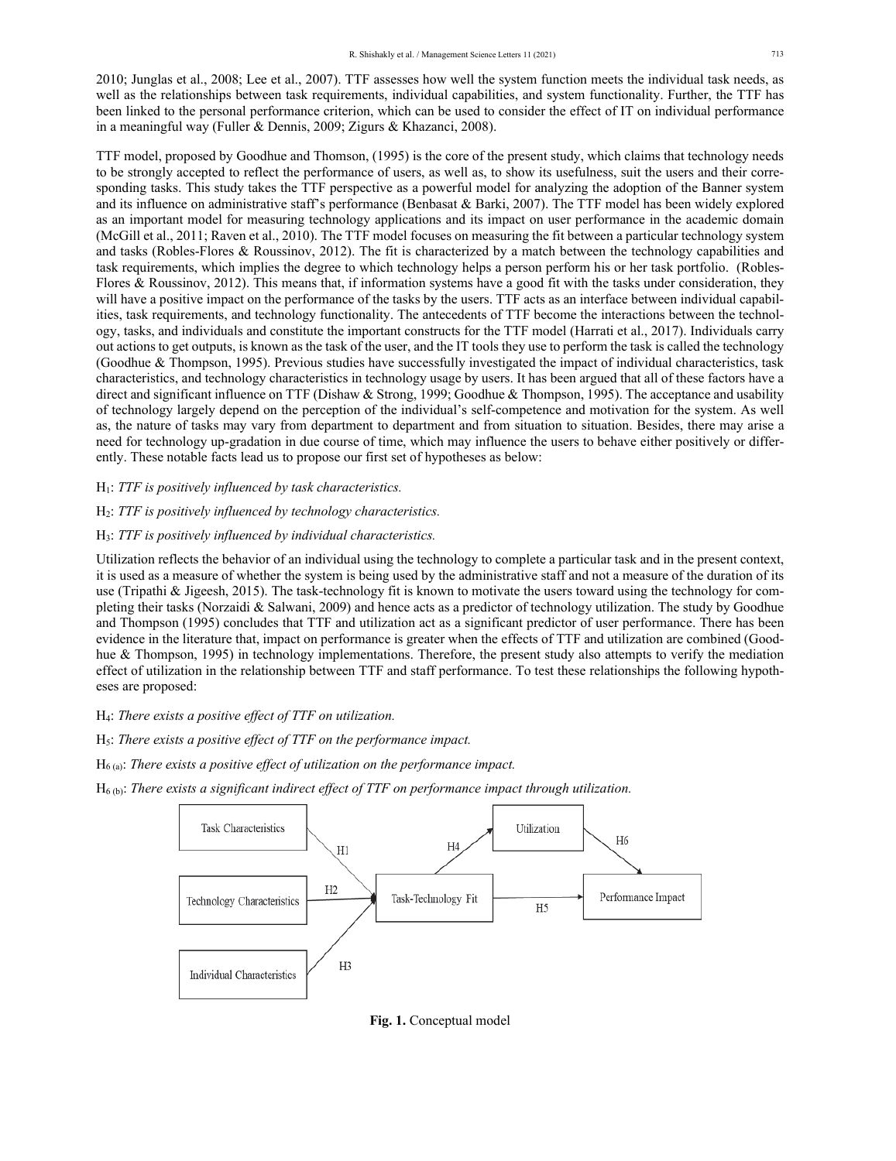2010; Junglas et al., 2008; Lee et al., 2007). TTF assesses how well the system function meets the individual task needs, as well as the relationships between task requirements, individual capabilities, and system functionality. Further, the TTF has been linked to the personal performance criterion, which can be used to consider the effect of IT on individual performance in a meaningful way (Fuller & Dennis, 2009; Zigurs & Khazanci, 2008).

TTF model, proposed by Goodhue and Thomson, (1995) is the core of the present study, which claims that technology needs to be strongly accepted to reflect the performance of users, as well as, to show its usefulness, suit the users and their corresponding tasks. This study takes the TTF perspective as a powerful model for analyzing the adoption of the Banner system and its influence on administrative staff's performance (Benbasat & Barki, 2007). The TTF model has been widely explored as an important model for measuring technology applications and its impact on user performance in the academic domain (McGill et al., 2011; Raven et al., 2010). The TTF model focuses on measuring the fit between a particular technology system and tasks (Robles-Flores & Roussinov, 2012). The fit is characterized by a match between the technology capabilities and task requirements, which implies the degree to which technology helps a person perform his or her task portfolio. (Robles-Flores & Roussinov, 2012). This means that, if information systems have a good fit with the tasks under consideration, they will have a positive impact on the performance of the tasks by the users. TTF acts as an interface between individual capabilities, task requirements, and technology functionality. The antecedents of TTF become the interactions between the technology, tasks, and individuals and constitute the important constructs for the TTF model (Harrati et al., 2017). Individuals carry out actions to get outputs, is known as the task of the user, and the IT tools they use to perform the task is called the technology (Goodhue & Thompson, 1995). Previous studies have successfully investigated the impact of individual characteristics, task characteristics, and technology characteristics in technology usage by users. It has been argued that all of these factors have a direct and significant influence on TTF (Dishaw & Strong, 1999; Goodhue & Thompson, 1995). The acceptance and usability of technology largely depend on the perception of the individual's self-competence and motivation for the system. As well as, the nature of tasks may vary from department to department and from situation to situation. Besides, there may arise a need for technology up-gradation in due course of time, which may influence the users to behave either positively or differently. These notable facts lead us to propose our first set of hypotheses as below:

H1: *TTF is positively influenced by task characteristics.* 

### H2: *TTF is positively influenced by technology characteristics.*

### H3: *TTF is positively influenced by individual characteristics.*

Utilization reflects the behavior of an individual using the technology to complete a particular task and in the present context, it is used as a measure of whether the system is being used by the administrative staff and not a measure of the duration of its use (Tripathi & Jigeesh, 2015). The task-technology fit is known to motivate the users toward using the technology for completing their tasks (Norzaidi & Salwani, 2009) and hence acts as a predictor of technology utilization. The study by Goodhue and Thompson (1995) concludes that TTF and utilization act as a significant predictor of user performance. There has been evidence in the literature that, impact on performance is greater when the effects of TTF and utilization are combined (Goodhue & Thompson, 1995) in technology implementations. Therefore, the present study also attempts to verify the mediation effect of utilization in the relationship between TTF and staff performance. To test these relationships the following hypotheses are proposed:

H4: *There exists a positive effect of TTF on utilization.* 

H5: *There exists a positive effect of TTF on the performance impact.* 

H6 (a): *There exists a positive effect of utilization on the performance impact.* 

H6 (b): *There exists a significant indirect effect of TTF on performance impact through utilization.* 



**Fig. 1.** Conceptual model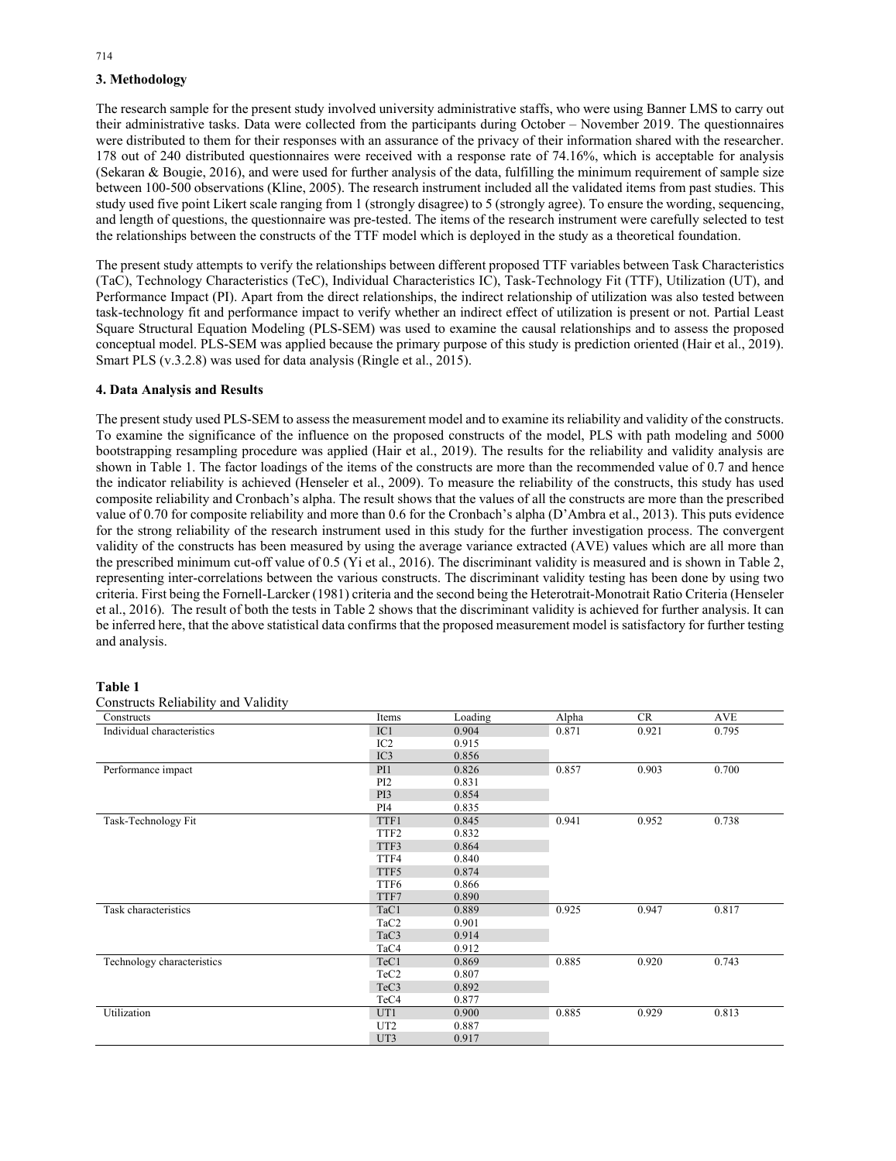### **3. Methodology**

The research sample for the present study involved university administrative staffs, who were using Banner LMS to carry out their administrative tasks. Data were collected from the participants during October – November 2019. The questionnaires were distributed to them for their responses with an assurance of the privacy of their information shared with the researcher. 178 out of 240 distributed questionnaires were received with a response rate of 74.16%, which is acceptable for analysis (Sekaran & Bougie, 2016), and were used for further analysis of the data, fulfilling the minimum requirement of sample size between 100-500 observations (Kline, 2005). The research instrument included all the validated items from past studies. This study used five point Likert scale ranging from 1 (strongly disagree) to 5 (strongly agree). To ensure the wording, sequencing, and length of questions, the questionnaire was pre-tested. The items of the research instrument were carefully selected to test the relationships between the constructs of the TTF model which is deployed in the study as a theoretical foundation.

The present study attempts to verify the relationships between different proposed TTF variables between Task Characteristics (TaC), Technology Characteristics (TeC), Individual Characteristics IC), Task-Technology Fit (TTF), Utilization (UT), and Performance Impact (PI). Apart from the direct relationships, the indirect relationship of utilization was also tested between task-technology fit and performance impact to verify whether an indirect effect of utilization is present or not. Partial Least Square Structural Equation Modeling (PLS-SEM) was used to examine the causal relationships and to assess the proposed conceptual model. PLS-SEM was applied because the primary purpose of this study is prediction oriented (Hair et al., 2019). Smart PLS (v.3.2.8) was used for data analysis (Ringle et al., 2015).

### **4. Data Analysis and Results**

The present study used PLS-SEM to assess the measurement model and to examine its reliability and validity of the constructs. To examine the significance of the influence on the proposed constructs of the model, PLS with path modeling and 5000 bootstrapping resampling procedure was applied (Hair et al., 2019). The results for the reliability and validity analysis are shown in Table 1. The factor loadings of the items of the constructs are more than the recommended value of 0.7 and hence the indicator reliability is achieved (Henseler et al., 2009). To measure the reliability of the constructs, this study has used composite reliability and Cronbach's alpha. The result shows that the values of all the constructs are more than the prescribed value of 0.70 for composite reliability and more than 0.6 for the Cronbach's alpha (D'Ambra et al., 2013). This puts evidence for the strong reliability of the research instrument used in this study for the further investigation process. The convergent validity of the constructs has been measured by using the average variance extracted (AVE) values which are all more than the prescribed minimum cut-off value of 0.5 (Yi et al., 2016). The discriminant validity is measured and is shown in Table 2, representing inter-correlations between the various constructs. The discriminant validity testing has been done by using two criteria. First being the Fornell-Larcker (1981) criteria and the second being the Heterotrait-Monotrait Ratio Criteria (Henseler et al., 2016). The result of both the tests in Table 2 shows that the discriminant validity is achieved for further analysis. It can be inferred here, that the above statistical data confirms that the proposed measurement model is satisfactory for further testing and analysis.

#### **Table 1**

| Constructs Reliability and Validity |  |  |
|-------------------------------------|--|--|
|                                     |  |  |

| Constructs                 | Items            | Loading | Alpha | CR.   | AVE   |
|----------------------------|------------------|---------|-------|-------|-------|
| Individual characteristics | IC1              | 0.904   | 0.871 | 0.921 | 0.795 |
|                            | IC <sub>2</sub>  | 0.915   |       |       |       |
|                            | IC3              | 0.856   |       |       |       |
| Performance impact         | PI1              | 0.826   | 0.857 | 0.903 | 0.700 |
|                            | PI <sub>2</sub>  | 0.831   |       |       |       |
|                            | PI3              | 0.854   |       |       |       |
|                            | PI4              | 0.835   |       |       |       |
| Task-Technology Fit        | TTF1             | 0.845   | 0.941 | 0.952 | 0.738 |
|                            | TTF <sub>2</sub> | 0.832   |       |       |       |
|                            | TTF3             | 0.864   |       |       |       |
|                            | TTF4             | 0.840   |       |       |       |
|                            | TTF5             | 0.874   |       |       |       |
|                            | TTF6             | 0.866   |       |       |       |
|                            | TTF7             | 0.890   |       |       |       |
| Task characteristics       | TaC1             | 0.889   | 0.925 | 0.947 | 0.817 |
|                            | TaC <sub>2</sub> | 0.901   |       |       |       |
|                            | TaC3             | 0.914   |       |       |       |
|                            | TaC4             | 0.912   |       |       |       |
| Technology characteristics | TeC1             | 0.869   | 0.885 | 0.920 | 0.743 |
|                            | TeC <sub>2</sub> | 0.807   |       |       |       |
|                            | TeC <sub>3</sub> | 0.892   |       |       |       |
|                            | TeC4             | 0.877   |       |       |       |
| Utilization                | UT1              | 0.900   | 0.885 | 0.929 | 0.813 |
|                            | UT <sub>2</sub>  | 0.887   |       |       |       |
|                            | UT3              | 0.917   |       |       |       |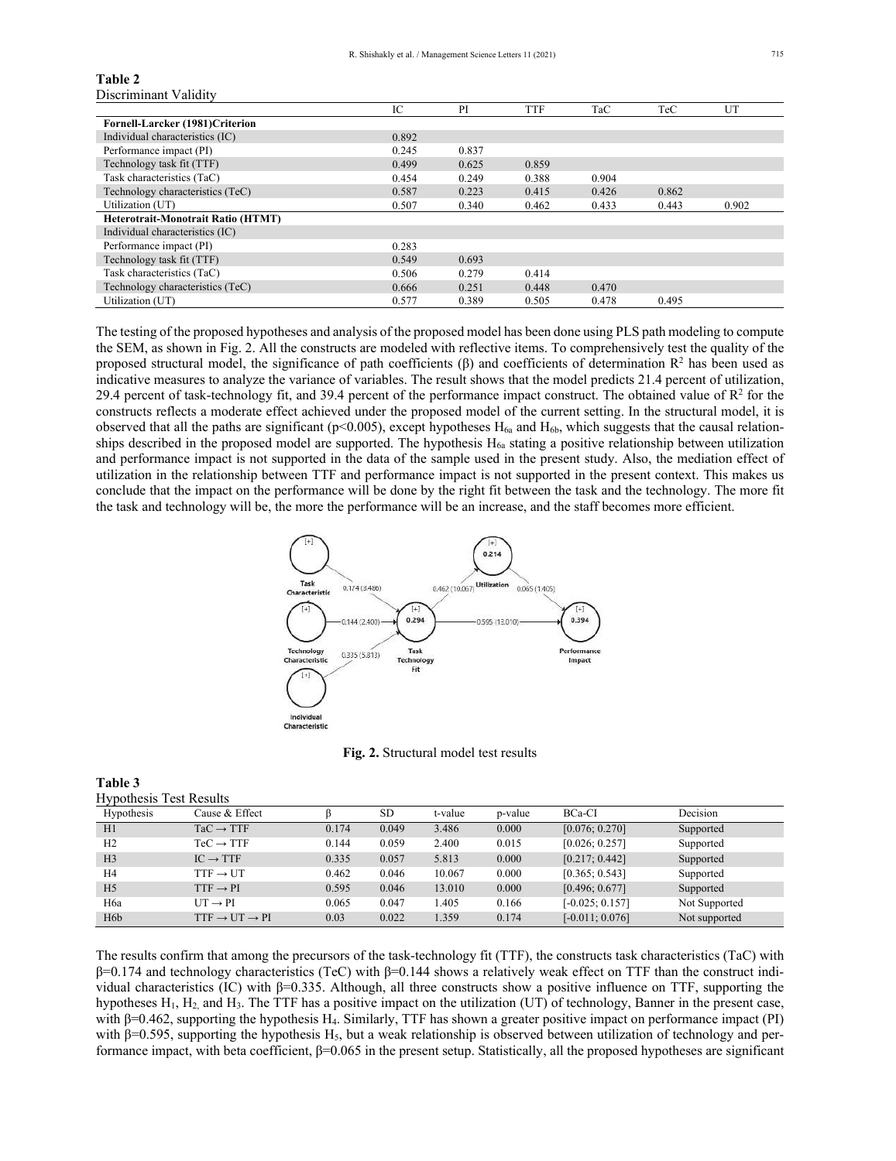|                                           | IC    | PI    | <b>TTF</b> | TaC   | TeC   | UT    |
|-------------------------------------------|-------|-------|------------|-------|-------|-------|
| Fornell-Larcker (1981) Criterion          |       |       |            |       |       |       |
| Individual characteristics (IC)           | 0.892 |       |            |       |       |       |
| Performance impact (PI)                   | 0.245 | 0.837 |            |       |       |       |
| Technology task fit (TTF)                 | 0.499 | 0.625 | 0.859      |       |       |       |
| Task characteristics (TaC)                | 0.454 | 0.249 | 0.388      | 0.904 |       |       |
| Technology characteristics (TeC)          | 0.587 | 0.223 | 0.415      | 0.426 | 0.862 |       |
| Utilization (UT)                          | 0.507 | 0.340 | 0.462      | 0.433 | 0.443 | 0.902 |
| <b>Heterotrait-Monotrait Ratio (HTMT)</b> |       |       |            |       |       |       |
| Individual characteristics (IC)           |       |       |            |       |       |       |
| Performance impact (PI)                   | 0.283 |       |            |       |       |       |
| Technology task fit (TTF)                 | 0.549 | 0.693 |            |       |       |       |
| Task characteristics (TaC)                | 0.506 | 0.279 | 0.414      |       |       |       |
| Technology characteristics (TeC)          | 0.666 | 0.251 | 0.448      | 0.470 |       |       |
| Utilization (UT)                          | 0.577 | 0.389 | 0.505      | 0.478 | 0.495 |       |

**Table 2**  Discriminant Validity

The testing of the proposed hypotheses and analysis of the proposed model has been done using PLS path modeling to compute the SEM, as shown in Fig. 2. All the constructs are modeled with reflective items. To comprehensively test the quality of the proposed structural model, the significance of path coefficients (β) and coefficients of determination  $R^2$  has been used as indicative measures to analyze the variance of variables. The result shows that the model predicts 21.4 percent of utilization, 29.4 percent of task-technology fit, and 39.4 percent of the performance impact construct. The obtained value of  $\mathbb{R}^2$  for the constructs reflects a moderate effect achieved under the proposed model of the current setting. In the structural model, it is observed that all the paths are significant (p<0.005), except hypotheses  $H_{6a}$  and  $H_{6b}$ , which suggests that the causal relationships described in the proposed model are supported. The hypothesis  $H<sub>6a</sub>$  stating a positive relationship between utilization and performance impact is not supported in the data of the sample used in the present study. Also, the mediation effect of utilization in the relationship between TTF and performance impact is not supported in the present context. This makes us conclude that the impact on the performance will be done by the right fit between the task and the technology. The more fit the task and technology will be, the more the performance will be an increase, and the staff becomes more efficient.



**Fig. 2.** Structural model test results

#### **Table 3**  Hypothesis Test Results

| results results in results |                                     |       |       |         |         |                   |               |
|----------------------------|-------------------------------------|-------|-------|---------|---------|-------------------|---------------|
| <b>Hypothesis</b>          | Cause & Effect                      |       | SD.   | t-value | p-value | BCa-CI            | Decision      |
| H1                         | $TaC \rightarrow TTF$               | 0.174 | 0.049 | 3.486   | 0.000   | [0.076; 0.270]    | Supported     |
| H2                         | $TeC \rightarrow TTF$               | 0.144 | 0.059 | 2.400   | 0.015   | [0.026; 0.257]    | Supported     |
| H <sub>3</sub>             | $IC \rightarrow TTF$                | 0.335 | 0.057 | 5.813   | 0.000   | [0.217; 0.442]    | Supported     |
| H4                         | $TTF \rightarrow UT$                | 0.462 | 0.046 | 10.067  | 0.000   | [0.365; 0.543]    | Supported     |
| H <sub>5</sub>             | $TTF \rightarrow PI$                | 0.595 | 0.046 | 13.010  | 0.000   | [0.496; 0.677]    | Supported     |
| H6a                        | $I/T \rightarrow PI$                | 0.065 | 0.047 | 1.405   | 0.166   | $[-0.025; 0.157]$ | Not Supported |
| H <sub>6</sub> b           | $TTF \rightarrow UT \rightarrow PI$ | 0.03  | 0.022 | 1.359   | 0.174   | $[-0.011; 0.076]$ | Not supported |

The results confirm that among the precursors of the task-technology fit (TTF), the constructs task characteristics (TaC) with β=0.174 and technology characteristics (TeC) with β=0.144 shows a relatively weak effect on TTF than the construct individual characteristics (IC) with β=0.335. Although, all three constructs show a positive influence on TTF, supporting the hypotheses  $H_1$ ,  $H_2$ , and  $H_3$ . The TTF has a positive impact on the utilization (UT) of technology, Banner in the present case, with β=0.462, supporting the hypothesis H4. Similarly, TTF has shown a greater positive impact on performance impact (PI) with β=0.595, supporting the hypothesis H<sub>5</sub>, but a weak relationship is observed between utilization of technology and performance impact, with beta coefficient, β=0.065 in the present setup. Statistically, all the proposed hypotheses are significant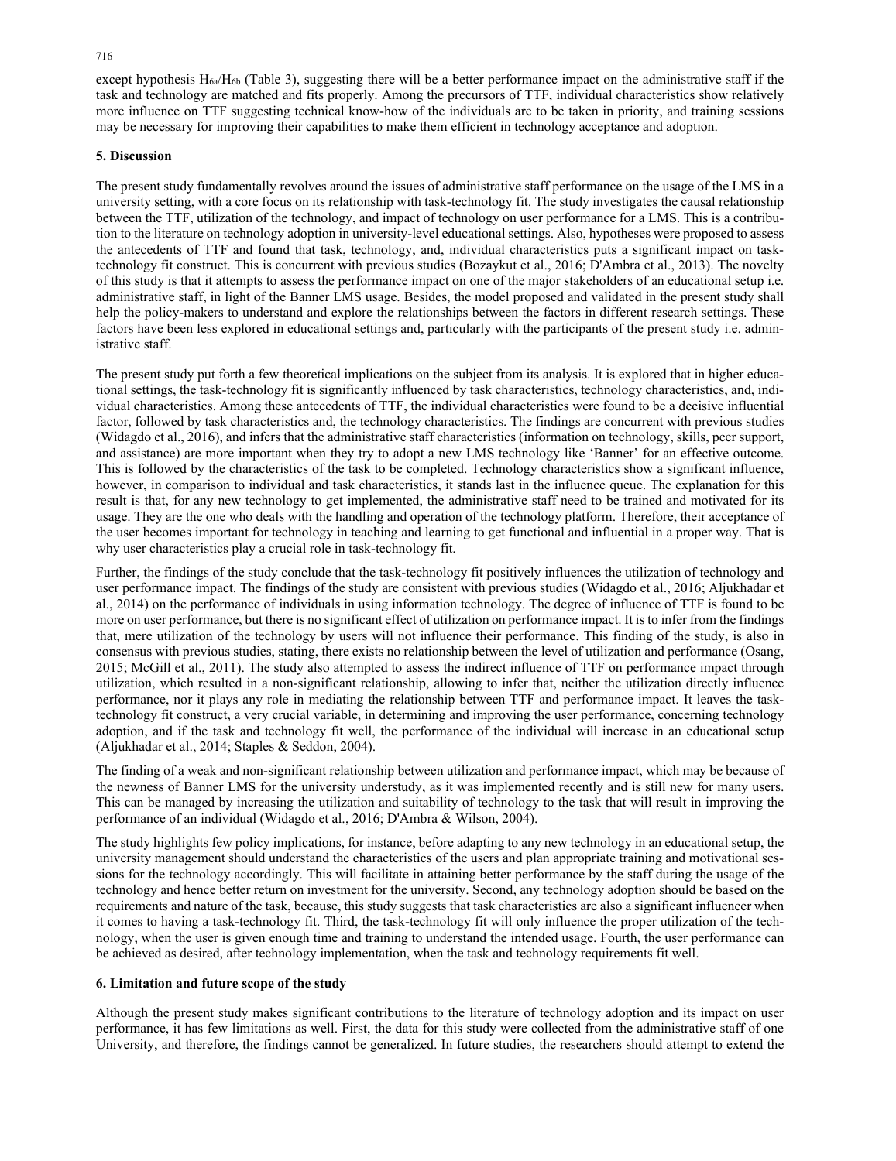except hypothesis  $H_{6a}/H_{6b}$  (Table 3), suggesting there will be a better performance impact on the administrative staff if the task and technology are matched and fits properly. Among the precursors of TTF, individual characteristics show relatively more influence on TTF suggesting technical know-how of the individuals are to be taken in priority, and training sessions may be necessary for improving their capabilities to make them efficient in technology acceptance and adoption.

### **5. Discussion**

The present study fundamentally revolves around the issues of administrative staff performance on the usage of the LMS in a university setting, with a core focus on its relationship with task-technology fit. The study investigates the causal relationship between the TTF, utilization of the technology, and impact of technology on user performance for a LMS. This is a contribution to the literature on technology adoption in university-level educational settings. Also, hypotheses were proposed to assess the antecedents of TTF and found that task, technology, and, individual characteristics puts a significant impact on tasktechnology fit construct. This is concurrent with previous studies (Bozaykut et al., 2016; D'Ambra et al., 2013). The novelty of this study is that it attempts to assess the performance impact on one of the major stakeholders of an educational setup i.e. administrative staff, in light of the Banner LMS usage. Besides, the model proposed and validated in the present study shall help the policy-makers to understand and explore the relationships between the factors in different research settings. These factors have been less explored in educational settings and, particularly with the participants of the present study i.e. administrative staff.

The present study put forth a few theoretical implications on the subject from its analysis. It is explored that in higher educational settings, the task-technology fit is significantly influenced by task characteristics, technology characteristics, and, individual characteristics. Among these antecedents of TTF, the individual characteristics were found to be a decisive influential factor, followed by task characteristics and, the technology characteristics. The findings are concurrent with previous studies (Widagdo et al., 2016), and infers that the administrative staff characteristics (information on technology, skills, peer support, and assistance) are more important when they try to adopt a new LMS technology like 'Banner' for an effective outcome. This is followed by the characteristics of the task to be completed. Technology characteristics show a significant influence, however, in comparison to individual and task characteristics, it stands last in the influence queue. The explanation for this result is that, for any new technology to get implemented, the administrative staff need to be trained and motivated for its usage. They are the one who deals with the handling and operation of the technology platform. Therefore, their acceptance of the user becomes important for technology in teaching and learning to get functional and influential in a proper way. That is why user characteristics play a crucial role in task-technology fit.

Further, the findings of the study conclude that the task-technology fit positively influences the utilization of technology and user performance impact. The findings of the study are consistent with previous studies (Widagdo et al., 2016; Aljukhadar et al., 2014) on the performance of individuals in using information technology. The degree of influence of TTF is found to be more on user performance, but there is no significant effect of utilization on performance impact. It is to infer from the findings that, mere utilization of the technology by users will not influence their performance. This finding of the study, is also in consensus with previous studies, stating, there exists no relationship between the level of utilization and performance (Osang, 2015; McGill et al., 2011). The study also attempted to assess the indirect influence of TTF on performance impact through utilization, which resulted in a non-significant relationship, allowing to infer that, neither the utilization directly influence performance, nor it plays any role in mediating the relationship between TTF and performance impact. It leaves the tasktechnology fit construct, a very crucial variable, in determining and improving the user performance, concerning technology adoption, and if the task and technology fit well, the performance of the individual will increase in an educational setup (Aljukhadar et al., 2014; Staples & Seddon, 2004).

The finding of a weak and non-significant relationship between utilization and performance impact, which may be because of the newness of Banner LMS for the university understudy, as it was implemented recently and is still new for many users. This can be managed by increasing the utilization and suitability of technology to the task that will result in improving the performance of an individual (Widagdo et al., 2016; D'Ambra & Wilson, 2004).

The study highlights few policy implications, for instance, before adapting to any new technology in an educational setup, the university management should understand the characteristics of the users and plan appropriate training and motivational sessions for the technology accordingly. This will facilitate in attaining better performance by the staff during the usage of the technology and hence better return on investment for the university. Second, any technology adoption should be based on the requirements and nature of the task, because, this study suggests that task characteristics are also a significant influencer when it comes to having a task-technology fit. Third, the task-technology fit will only influence the proper utilization of the technology, when the user is given enough time and training to understand the intended usage. Fourth, the user performance can be achieved as desired, after technology implementation, when the task and technology requirements fit well.

#### **6. Limitation and future scope of the study**

Although the present study makes significant contributions to the literature of technology adoption and its impact on user performance, it has few limitations as well. First, the data for this study were collected from the administrative staff of one University, and therefore, the findings cannot be generalized. In future studies, the researchers should attempt to extend the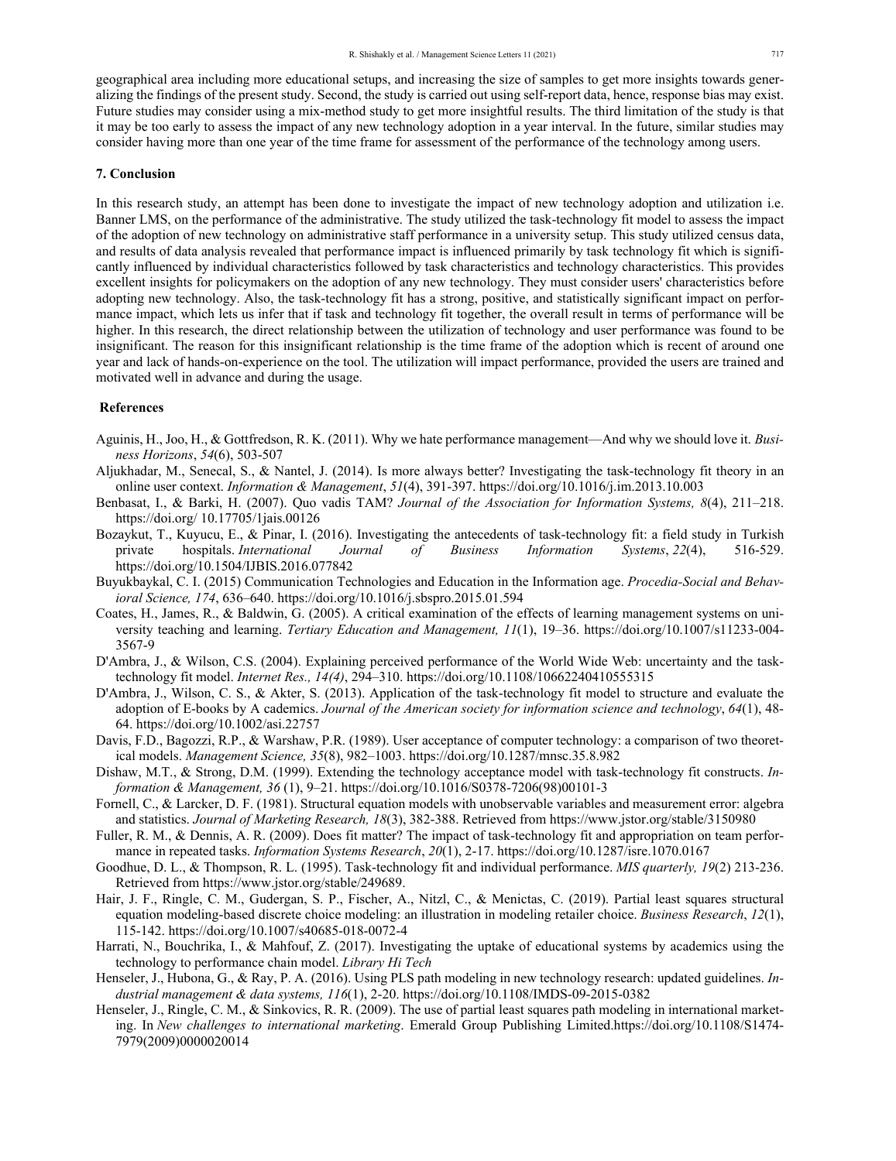geographical area including more educational setups, and increasing the size of samples to get more insights towards generalizing the findings of the present study. Second, the study is carried out using self-report data, hence, response bias may exist. Future studies may consider using a mix-method study to get more insightful results. The third limitation of the study is that it may be too early to assess the impact of any new technology adoption in a year interval. In the future, similar studies may consider having more than one year of the time frame for assessment of the performance of the technology among users.

#### **7. Conclusion**

In this research study, an attempt has been done to investigate the impact of new technology adoption and utilization i.e. Banner LMS, on the performance of the administrative. The study utilized the task-technology fit model to assess the impact of the adoption of new technology on administrative staff performance in a university setup. This study utilized census data, and results of data analysis revealed that performance impact is influenced primarily by task technology fit which is significantly influenced by individual characteristics followed by task characteristics and technology characteristics. This provides excellent insights for policymakers on the adoption of any new technology. They must consider users' characteristics before adopting new technology. Also, the task-technology fit has a strong, positive, and statistically significant impact on performance impact, which lets us infer that if task and technology fit together, the overall result in terms of performance will be higher. In this research, the direct relationship between the utilization of technology and user performance was found to be insignificant. The reason for this insignificant relationship is the time frame of the adoption which is recent of around one year and lack of hands-on-experience on the tool. The utilization will impact performance, provided the users are trained and motivated well in advance and during the usage.

#### **References**

- Aguinis, H., Joo, H., & Gottfredson, R. K. (2011). Why we hate performance management—And why we should love it. *Business Horizons*, *54*(6), 503-507
- Aljukhadar, M., Senecal, S., & Nantel, J. (2014). Is more always better? Investigating the task-technology fit theory in an online user context. *Information & Management*, *51*(4), 391-397. https://doi.org/10.1016/j.im.2013.10.003
- Benbasat, I., & Barki, H. (2007). Quo vadis TAM? *Journal of the Association for Information Systems, 8*(4), 211–218. https://doi.org/ 10.17705/1jais.00126
- Bozaykut, T., Kuyucu, E., & Pinar, I. (2016). Investigating the antecedents of task-technology fit: a field study in Turkish private hospitals. *International Journal of Business Information Systems*, *22*(4), 516-529. https://doi.org/10.1504/IJBIS.2016.077842
- Buyukbaykal, C. I. (2015) Communication Technologies and Education in the Information age. *Procedia-Social and Behavioral Science, 174*, 636–640. https://doi.org/10.1016/j.sbspro.2015.01.594
- Coates, H., James, R., & Baldwin, G. (2005). A critical examination of the effects of learning management systems on university teaching and learning. *Tertiary Education and Management, 11*(1), 19–36. https://doi.org/10.1007/s11233-004- 3567-9
- D'Ambra, J., & Wilson, C.S. (2004). Explaining perceived performance of the World Wide Web: uncertainty and the tasktechnology fit model. *Internet Res., 14(4)*, 294–310. https://doi.org/10.1108/10662240410555315
- D'Ambra, J., Wilson, C. S., & Akter, S. (2013). Application of the task-technology fit model to structure and evaluate the adoption of E‐books by A cademics. *Journal of the American society for information science and technology*, *64*(1), 48- 64. https://doi.org/10.1002/asi.22757
- Davis, F.D., Bagozzi, R.P., & Warshaw, P.R. (1989). User acceptance of computer technology: a comparison of two theoretical models. *Management Science, 35*(8), 982–1003. https://doi.org/10.1287/mnsc.35.8.982
- Dishaw, M.T., & Strong, D.M. (1999). Extending the technology acceptance model with task-technology fit constructs. *Information & Management, 36* (1), 9–21. https://doi.org/10.1016/S0378-7206(98)00101-3
- Fornell, C., & Larcker, D. F. (1981). Structural equation models with unobservable variables and measurement error: algebra and statistics. *Journal of Marketing Research, 18*(3), 382-388. Retrieved from https://www.jstor.org/stable/3150980
- Fuller, R. M., & Dennis, A. R. (2009). Does fit matter? The impact of task-technology fit and appropriation on team performance in repeated tasks. *Information Systems Research*, *20*(1), 2-17. https://doi.org/10.1287/isre.1070.0167
- Goodhue, D. L., & Thompson, R. L. (1995). Task-technology fit and individual performance. *MIS quarterly, 19*(2) 213-236. Retrieved from https://www.jstor.org/stable/249689.
- Hair, J. F., Ringle, C. M., Gudergan, S. P., Fischer, A., Nitzl, C., & Menictas, C. (2019). Partial least squares structural equation modeling-based discrete choice modeling: an illustration in modeling retailer choice. *Business Research*, *12*(1), 115-142. https://doi.org/10.1007/s40685-018-0072-4
- Harrati, N., Bouchrika, I., & Mahfouf, Z. (2017). Investigating the uptake of educational systems by academics using the technology to performance chain model. *Library Hi Tech*
- Henseler, J., Hubona, G., & Ray, P. A. (2016). Using PLS path modeling in new technology research: updated guidelines. *Industrial management & data systems, 116*(1), 2-20. https://doi.org/10.1108/IMDS-09-2015-0382
- Henseler, J., Ringle, C. M., & Sinkovics, R. R. (2009). The use of partial least squares path modeling in international marketing. In *New challenges to international marketing*. Emerald Group Publishing Limited.https://doi.org/10.1108/S1474- 7979(2009)0000020014